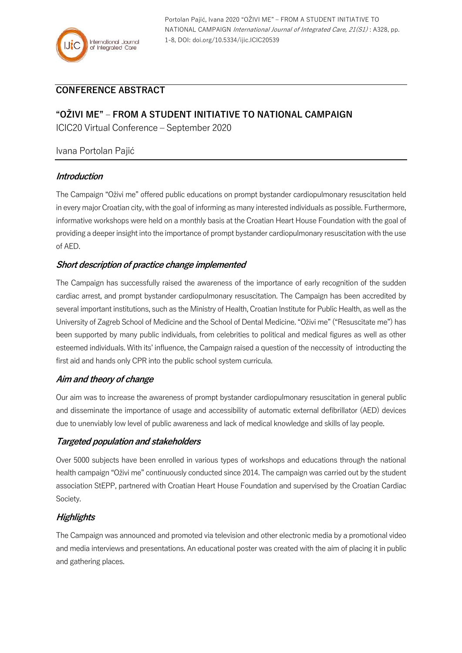

Portolan Pajić, Ivana 2020 "OŽIVI ME" – FROM A STUDENT INITIATIVE TO NATIONAL CAMPAIGN International Journal of Integrated Care, 21(S1): A328, pp. 1-8, DOI: doi.org/10.5334/ijic.ICIC20539

# **CONFERENCE ABSTRACT**

## **"OŽIVI ME" – FROM A STUDENT INITIATIVE TO NATIONAL CAMPAIGN**

ICIC20 Virtual Conference – September 2020

### Ivana Portolan Pajić

### **Introduction**

The Campaign "Oživi me" offered public educations on prompt bystander cardiopulmonary resuscitation held in every major Croatian city, with the goal of informing as many interested individuals as possible. Furthermore, informative workshops were held on a monthly basis at the Croatian Heart House Foundation with the goal of providing a deeper insight into the importance of prompt bystander cardiopulmonary resuscitation with the use of AED.

### **Short description of practice change implemented**

The Campaign has successfully raised the awareness of the importance of early recognition of the sudden cardiac arrest, and prompt bystander cardiopulmonary resuscitation. The Campaign has been accredited by several important institutions, such as the Ministry of Health, Croatian Institute for Public Health, as well as the University of Zagreb School of Medicine and the School of Dental Medicine. "Oživi me" ("Resuscitate me") has been supported by many public individuals, from celebrities to political and medical figures as well as other esteemed individuals. With its' influence, the Campaign raised a question of the neccessity of introducting the first aid and hands only CPR into the public school system curricula.

### **Aim and theory of change**

Our aim was to increase the awareness of prompt bystander cardiopulmonary resuscitation in general public and disseminate the importance of usage and accessibility of automatic external defibrillator (AED) devices due to unenviably low level of public awareness and lack of medical knowledge and skills of lay people.

### **Targeted population and stakeholders**

Over 5000 subjects have been enrolled in various types of workshops and educations through the national health campaign "Oživi me" continuously conducted since 2014. The campaign was carried out by the student association StEPP, partnered with Croatian Heart House Foundation and supervised by the Croatian Cardiac Society.

## **Highlights**

The Campaign was announced and promoted via television and other electronic media by a promotional video and media interviews and presentations. An educational poster was created with the aim of placing it in public and gathering places.